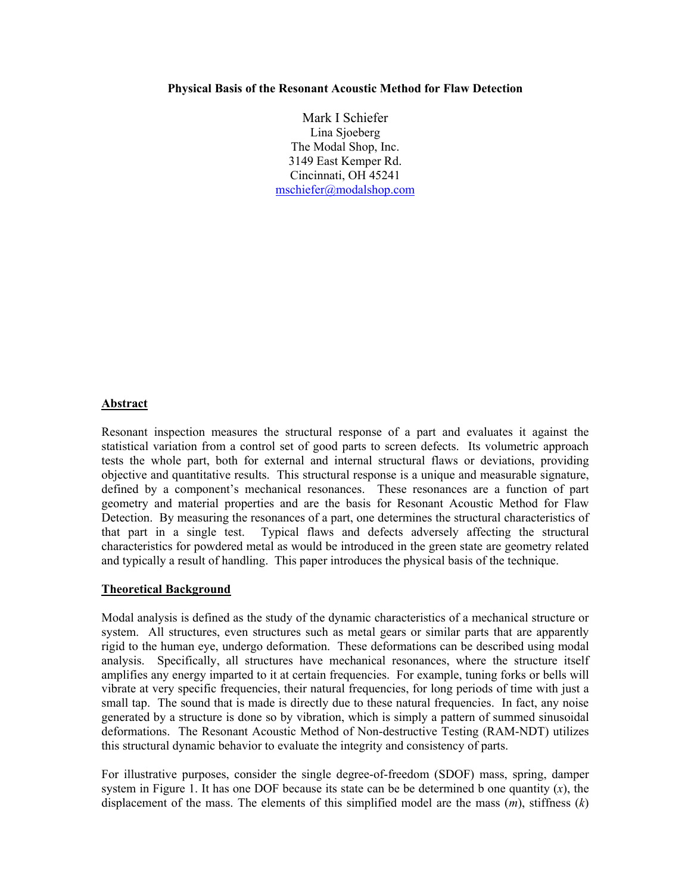#### **Physical Basis of the Resonant Acoustic Method for Flaw Detection**

Mark I Schiefer Lina Sjoeberg The Modal Shop, Inc. 3149 East Kemper Rd. Cincinnati, OH 45241 mschiefer@modalshop.com

#### **Abstract**

Resonant inspection measures the structural response of a part and evaluates it against the statistical variation from a control set of good parts to screen defects. Its volumetric approach tests the whole part, both for external and internal structural flaws or deviations, providing objective and quantitative results. This structural response is a unique and measurable signature, defined by a component's mechanical resonances. These resonances are a function of part geometry and material properties and are the basis for Resonant Acoustic Method for Flaw Detection. By measuring the resonances of a part, one determines the structural characteristics of that part in a single test. Typical flaws and defects adversely affecting the structural characteristics for powdered metal as would be introduced in the green state are geometry related and typically a result of handling. This paper introduces the physical basis of the technique.

#### **Theoretical Background**

Modal analysis is defined as the study of the dynamic characteristics of a mechanical structure or system. All structures, even structures such as metal gears or similar parts that are apparently rigid to the human eye, undergo deformation. These deformations can be described using modal analysis. Specifically, all structures have mechanical resonances, where the structure itself amplifies any energy imparted to it at certain frequencies. For example, tuning forks or bells will vibrate at very specific frequencies, their natural frequencies, for long periods of time with just a small tap. The sound that is made is directly due to these natural frequencies. In fact, any noise generated by a structure is done so by vibration, which is simply a pattern of summed sinusoidal deformations. The Resonant Acoustic Method of Non-destructive Testing (RAM-NDT) utilizes this structural dynamic behavior to evaluate the integrity and consistency of parts.

For illustrative purposes, consider the single degree-of-freedom (SDOF) mass, spring, damper system in Figure 1. It has one DOF because its state can be be determined b one quantity  $(x)$ , the displacement of the mass. The elements of this simplified model are the mass (*m*), stiffness (*k*)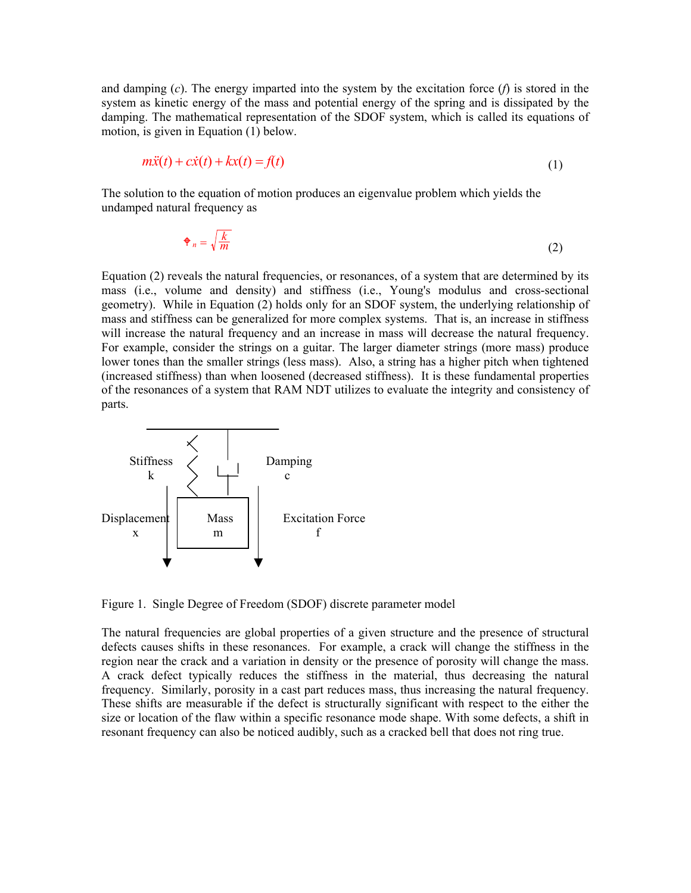and damping (*c*). The energy imparted into the system by the excitation force (*f*) is stored in the system as kinetic energy of the mass and potential energy of the spring and is dissipated by the damping. The mathematical representation of the SDOF system, which is called its equations of motion, is given in Equation (1) below.

$$
m\ddot{x}(t) + c\dot{x}(t) + kx(t) = f(t)
$$
\n(1)

The solution to the equation of motion produces an eigenvalue problem which yields the undamped natural frequency as

$$
\mathbf{\Phi}_n = \sqrt{\frac{k}{m}} \tag{2}
$$

Equation (2) reveals the natural frequencies, or resonances, of a system that are determined by its mass (i.e., volume and density) and stiffness (i.e., Young's modulus and cross-sectional geometry). While in Equation (2) holds only for an SDOF system, the underlying relationship of mass and stiffness can be generalized for more complex systems. That is, an increase in stiffness will increase the natural frequency and an increase in mass will decrease the natural frequency. For example, consider the strings on a guitar. The larger diameter strings (more mass) produce lower tones than the smaller strings (less mass). Also, a string has a higher pitch when tightened (increased stiffness) than when loosened (decreased stiffness). It is these fundamental properties of the resonances of a system that RAM NDT utilizes to evaluate the integrity and consistency of parts.



Figure 1. Single Degree of Freedom (SDOF) discrete parameter model

The natural frequencies are global properties of a given structure and the presence of structural defects causes shifts in these resonances. For example, a crack will change the stiffness in the region near the crack and a variation in density or the presence of porosity will change the mass. A crack defect typically reduces the stiffness in the material, thus decreasing the natural frequency. Similarly, porosity in a cast part reduces mass, thus increasing the natural frequency. These shifts are measurable if the defect is structurally significant with respect to the either the size or location of the flaw within a specific resonance mode shape. With some defects, a shift in resonant frequency can also be noticed audibly, such as a cracked bell that does not ring true.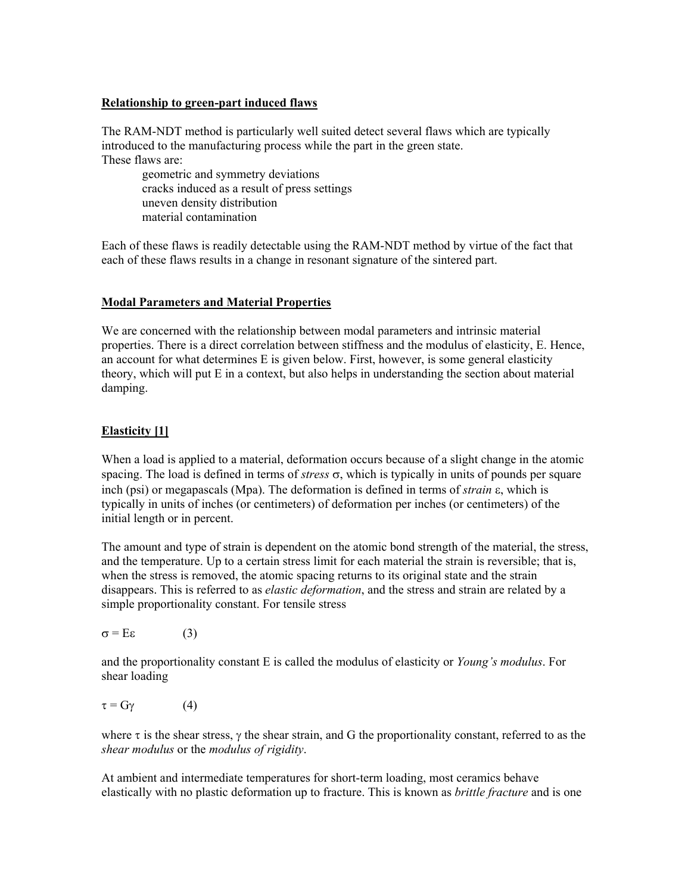### **Relationship to green-part induced flaws**

The RAM-NDT method is particularly well suited detect several flaws which are typically introduced to the manufacturing process while the part in the green state. These flaws are:

geometric and symmetry deviations cracks induced as a result of press settings uneven density distribution material contamination

Each of these flaws is readily detectable using the RAM-NDT method by virtue of the fact that each of these flaws results in a change in resonant signature of the sintered part.

# **Modal Parameters and Material Properties**

We are concerned with the relationship between modal parameters and intrinsic material properties. There is a direct correlation between stiffness and the modulus of elasticity, E. Hence, an account for what determines E is given below. First, however, is some general elasticity theory, which will put E in a context, but also helps in understanding the section about material damping.

# **Elasticity [1]**

When a load is applied to a material, deformation occurs because of a slight change in the atomic spacing. The load is defined in terms of *stress*  $\sigma$ , which is typically in units of pounds per square inch (psi) or megapascals (Mpa). The deformation is defined in terms of *strain*  $\varepsilon$ , which is typically in units of inches (or centimeters) of deformation per inches (or centimeters) of the initial length or in percent.

The amount and type of strain is dependent on the atomic bond strength of the material, the stress, and the temperature. Up to a certain stress limit for each material the strain is reversible; that is, when the stress is removed, the atomic spacing returns to its original state and the strain disappears. This is referred to as *elastic deformation*, and the stress and strain are related by a simple proportionality constant. For tensile stress

 $\sigma = E\varepsilon$  (3)

and the proportionality constant E is called the modulus of elasticity or *Young's modulus*. For shear loading

```
\tau = G\gamma (4)
```
where  $\tau$  is the shear stress,  $\gamma$  the shear strain, and G the proportionality constant, referred to as the *shear modulus* or the *modulus of rigidity*.

At ambient and intermediate temperatures for short-term loading, most ceramics behave elastically with no plastic deformation up to fracture. This is known as *brittle fracture* and is one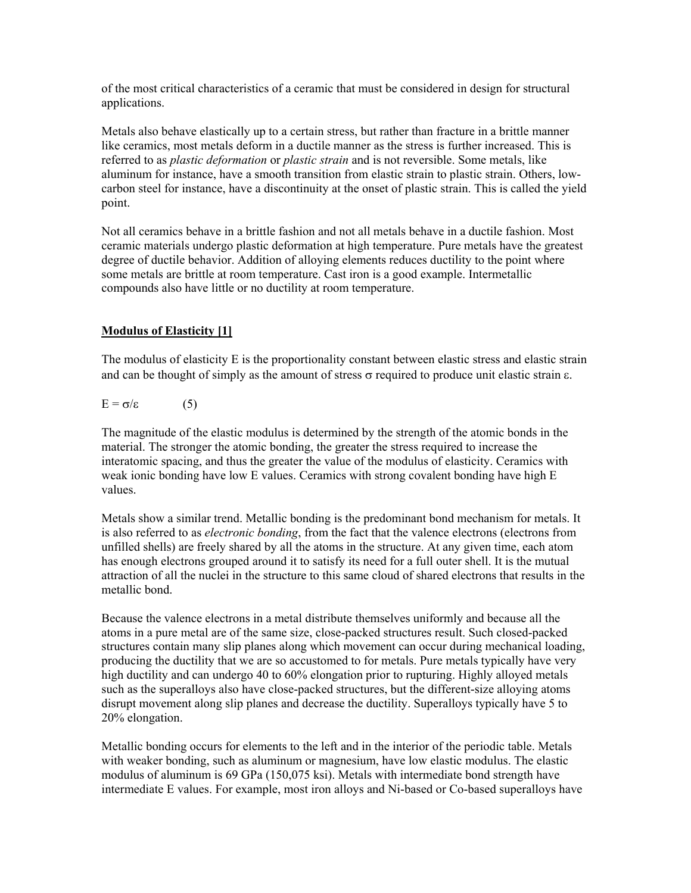of the most critical characteristics of a ceramic that must be considered in design for structural applications.

Metals also behave elastically up to a certain stress, but rather than fracture in a brittle manner like ceramics, most metals deform in a ductile manner as the stress is further increased. This is referred to as *plastic deformation* or *plastic strain* and is not reversible. Some metals, like aluminum for instance, have a smooth transition from elastic strain to plastic strain. Others, lowcarbon steel for instance, have a discontinuity at the onset of plastic strain. This is called the yield point.

Not all ceramics behave in a brittle fashion and not all metals behave in a ductile fashion. Most ceramic materials undergo plastic deformation at high temperature. Pure metals have the greatest degree of ductile behavior. Addition of alloying elements reduces ductility to the point where some metals are brittle at room temperature. Cast iron is a good example. Intermetallic compounds also have little or no ductility at room temperature.

# **Modulus of Elasticity [1]**

The modulus of elasticity E is the proportionality constant between elastic stress and elastic strain and can be thought of simply as the amount of stress  $\sigma$  required to produce unit elastic strain  $\varepsilon$ .

$$
E = \sigma/\varepsilon \tag{5}
$$

The magnitude of the elastic modulus is determined by the strength of the atomic bonds in the material. The stronger the atomic bonding, the greater the stress required to increase the interatomic spacing, and thus the greater the value of the modulus of elasticity. Ceramics with weak ionic bonding have low E values. Ceramics with strong covalent bonding have high E values.

Metals show a similar trend. Metallic bonding is the predominant bond mechanism for metals. It is also referred to as *electronic bonding*, from the fact that the valence electrons (electrons from unfilled shells) are freely shared by all the atoms in the structure. At any given time, each atom has enough electrons grouped around it to satisfy its need for a full outer shell. It is the mutual attraction of all the nuclei in the structure to this same cloud of shared electrons that results in the metallic bond.

Because the valence electrons in a metal distribute themselves uniformly and because all the atoms in a pure metal are of the same size, close-packed structures result. Such closed-packed structures contain many slip planes along which movement can occur during mechanical loading, producing the ductility that we are so accustomed to for metals. Pure metals typically have very high ductility and can undergo 40 to 60% elongation prior to rupturing. Highly alloyed metals such as the superalloys also have close-packed structures, but the different-size alloying atoms disrupt movement along slip planes and decrease the ductility. Superalloys typically have 5 to 20% elongation.

Metallic bonding occurs for elements to the left and in the interior of the periodic table. Metals with weaker bonding, such as aluminum or magnesium, have low elastic modulus. The elastic modulus of aluminum is 69 GPa (150,075 ksi). Metals with intermediate bond strength have intermediate E values. For example, most iron alloys and Ni-based or Co-based superalloys have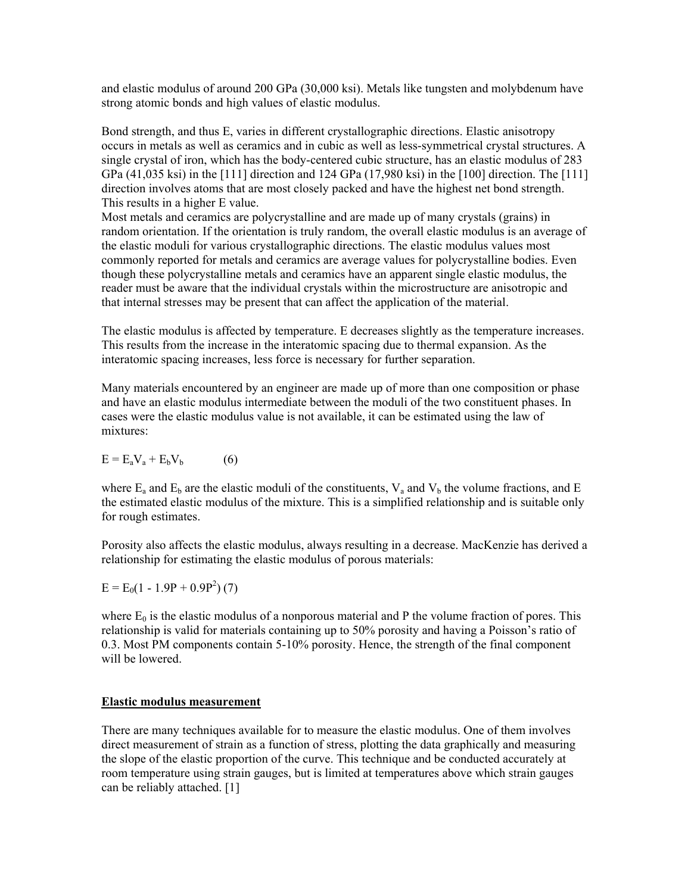and elastic modulus of around 200 GPa (30,000 ksi). Metals like tungsten and molybdenum have strong atomic bonds and high values of elastic modulus.

Bond strength, and thus E, varies in different crystallographic directions. Elastic anisotropy occurs in metals as well as ceramics and in cubic as well as less-symmetrical crystal structures. A single crystal of iron, which has the body-centered cubic structure, has an elastic modulus of 283 GPa (41,035 ksi) in the [111] direction and 124 GPa (17,980 ksi) in the [100] direction. The [111] direction involves atoms that are most closely packed and have the highest net bond strength. This results in a higher E value.

Most metals and ceramics are polycrystalline and are made up of many crystals (grains) in random orientation. If the orientation is truly random, the overall elastic modulus is an average of the elastic moduli for various crystallographic directions. The elastic modulus values most commonly reported for metals and ceramics are average values for polycrystalline bodies. Even though these polycrystalline metals and ceramics have an apparent single elastic modulus, the reader must be aware that the individual crystals within the microstructure are anisotropic and that internal stresses may be present that can affect the application of the material.

The elastic modulus is affected by temperature. E decreases slightly as the temperature increases. This results from the increase in the interatomic spacing due to thermal expansion. As the interatomic spacing increases, less force is necessary for further separation.

Many materials encountered by an engineer are made up of more than one composition or phase and have an elastic modulus intermediate between the moduli of the two constituent phases. In cases were the elastic modulus value is not available, it can be estimated using the law of mixtures:

$$
E = E_a V_a + E_b V_b \tag{6}
$$

where  $E_a$  and  $E_b$  are the elastic moduli of the constituents,  $V_a$  and  $V_b$  the volume fractions, and E the estimated elastic modulus of the mixture. This is a simplified relationship and is suitable only for rough estimates.

Porosity also affects the elastic modulus, always resulting in a decrease. MacKenzie has derived a relationship for estimating the elastic modulus of porous materials:

$$
E = E_0(1 - 1.9P + 0.9P^2)
$$
 (7)

where  $E_0$  is the elastic modulus of a nonporous material and P the volume fraction of pores. This relationship is valid for materials containing up to 50% porosity and having a Poisson's ratio of 0.3. Most PM components contain 5-10% porosity. Hence, the strength of the final component will be lowered.

### **Elastic modulus measurement**

There are many techniques available for to measure the elastic modulus. One of them involves direct measurement of strain as a function of stress, plotting the data graphically and measuring the slope of the elastic proportion of the curve. This technique and be conducted accurately at room temperature using strain gauges, but is limited at temperatures above which strain gauges can be reliably attached. [1]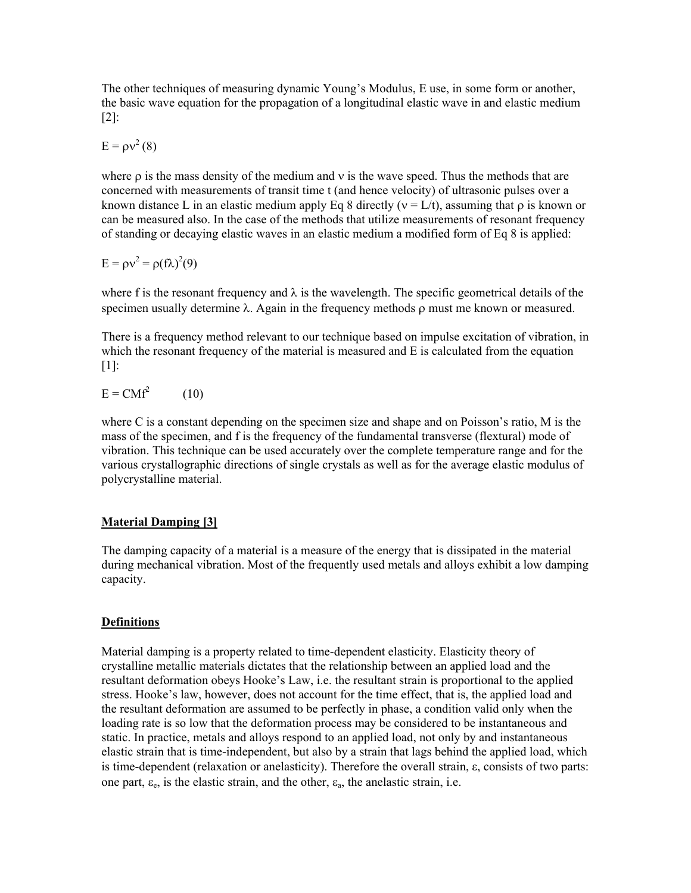The other techniques of measuring dynamic Young's Modulus, E use, in some form or another, the basic wave equation for the propagation of a longitudinal elastic wave in and elastic medium [2]:

$$
E = \rho v^2 (8)
$$

where  $\rho$  is the mass density of the medium and  $\nu$  is the wave speed. Thus the methods that are concerned with measurements of transit time t (and hence velocity) of ultrasonic pulses over a known distance L in an elastic medium apply Eq 8 directly ( $v = L/t$ ), assuming that  $\rho$  is known or can be measured also. In the case of the methods that utilize measurements of resonant frequency of standing or decaying elastic waves in an elastic medium a modified form of Eq 8 is applied:

$$
E = \rho v^2 = \rho (f \lambda)^2 (9)
$$

where f is the resonant frequency and  $\lambda$  is the wavelength. The specific geometrical details of the specimen usually determine  $\lambda$ . Again in the frequency methods  $\rho$  must me known or measured.

There is a frequency method relevant to our technique based on impulse excitation of vibration, in which the resonant frequency of the material is measured and E is calculated from the equation [1]:

$$
E = CMf^2 \qquad (10)
$$

where C is a constant depending on the specimen size and shape and on Poisson's ratio, M is the mass of the specimen, and f is the frequency of the fundamental transverse (flextural) mode of vibration. This technique can be used accurately over the complete temperature range and for the various crystallographic directions of single crystals as well as for the average elastic modulus of polycrystalline material.

### **Material Damping [3]**

The damping capacity of a material is a measure of the energy that is dissipated in the material during mechanical vibration. Most of the frequently used metals and alloys exhibit a low damping capacity.

### **Definitions**

Material damping is a property related to time-dependent elasticity. Elasticity theory of crystalline metallic materials dictates that the relationship between an applied load and the resultant deformation obeys Hooke's Law, i.e. the resultant strain is proportional to the applied stress. Hooke's law, however, does not account for the time effect, that is, the applied load and the resultant deformation are assumed to be perfectly in phase, a condition valid only when the loading rate is so low that the deformation process may be considered to be instantaneous and static. In practice, metals and alloys respond to an applied load, not only by and instantaneous elastic strain that is time-independent, but also by a strain that lags behind the applied load, which is time-dependent (relaxation or anelasticity). Therefore the overall strain,  $\varepsilon$ , consists of two parts: one part,  $\varepsilon_e$ , is the elastic strain, and the other,  $\varepsilon_a$ , the anelastic strain, i.e.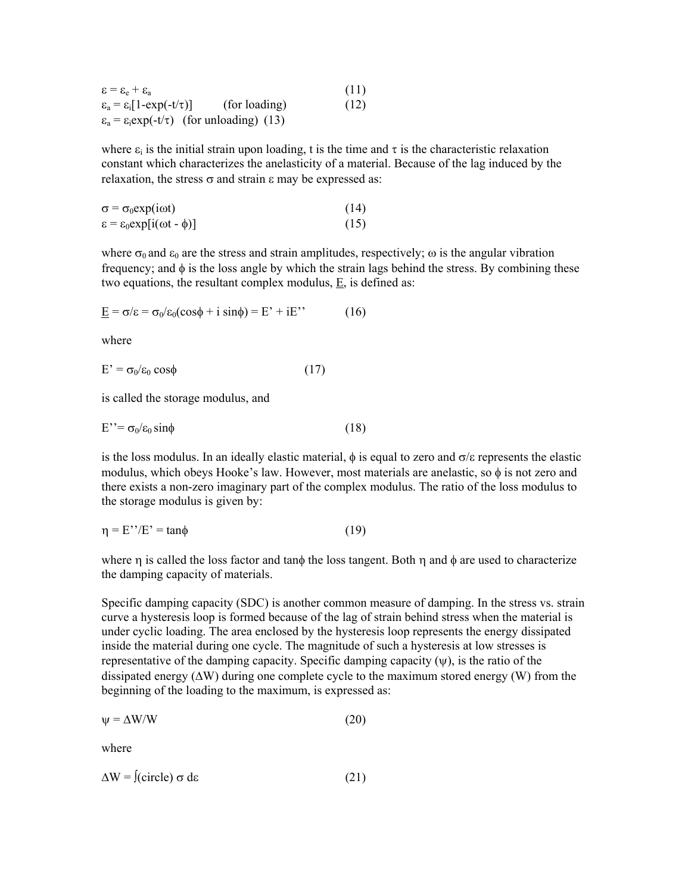| $\epsilon = \epsilon_{\rm e} + \epsilon_{\rm a}$                                    | (11) |
|-------------------------------------------------------------------------------------|------|
| (for loading)<br>$\varepsilon_{\rm a}$ = $\varepsilon_{\rm i}$   1-exp(-t/ $\tau$ ) | (12) |
| $\varepsilon_a = \varepsilon_i \exp(-t/\tau)$ (for unloading) (13)                  |      |

where  $\varepsilon_i$  is the initial strain upon loading, t is the time and  $\tau$  is the characteristic relaxation constant which characterizes the anelasticity of a material. Because of the lag induced by the relaxation, the stress  $\sigma$  and strain  $\epsilon$  may be expressed as:

| $\sigma = \sigma_0 \exp(i \omega t)$             | (14) |
|--------------------------------------------------|------|
| $\epsilon = \epsilon_0 \exp[i(\omega t - \phi)]$ | (15) |

where  $\sigma_0$  and  $\epsilon_0$  are the stress and strain amplitudes, respectively;  $\omega$  is the angular vibration frequency; and  $\phi$  is the loss angle by which the strain lags behind the stress. By combining these two equations, the resultant complex modulus, E, is defined as:

$$
\underline{E} = \sigma/\varepsilon = \sigma_0/\varepsilon_0(\cos\phi + i\sin\phi) = E' + iE'
$$
 (16)

where

 $E' = \sigma_0/\varepsilon_0 \cos\phi$  (17)

is called the storage modulus, and

$$
E^{\prime\prime} = \sigma_0/\varepsilon_0 \sin\phi \tag{18}
$$

is the loss modulus. In an ideally elastic material,  $\phi$  is equal to zero and  $\sigma/\varepsilon$  represents the elastic modulus, which obeys Hooke's law. However, most materials are anelastic, so  $\phi$  is not zero and there exists a non-zero imaginary part of the complex modulus. The ratio of the loss modulus to the storage modulus is given by:

$$
\eta = E''/E' = \tan\phi \tag{19}
$$

where  $\eta$  is called the loss factor and tan $\phi$  the loss tangent. Both  $\eta$  and  $\phi$  are used to characterize the damping capacity of materials.

Specific damping capacity (SDC) is another common measure of damping. In the stress vs. strain curve a hysteresis loop is formed because of the lag of strain behind stress when the material is under cyclic loading. The area enclosed by the hysteresis loop represents the energy dissipated inside the material during one cycle. The magnitude of such a hysteresis at low stresses is representative of the damping capacity. Specific damping capacity  $(\psi)$ , is the ratio of the dissipated energy  $(\Delta W)$  during one complete cycle to the maximum stored energy (W) from the beginning of the loading to the maximum, is expressed as:

$$
\psi = \Delta W/W \tag{20}
$$

where

 $\Delta W = f(circle) \sigma d\epsilon$  (21)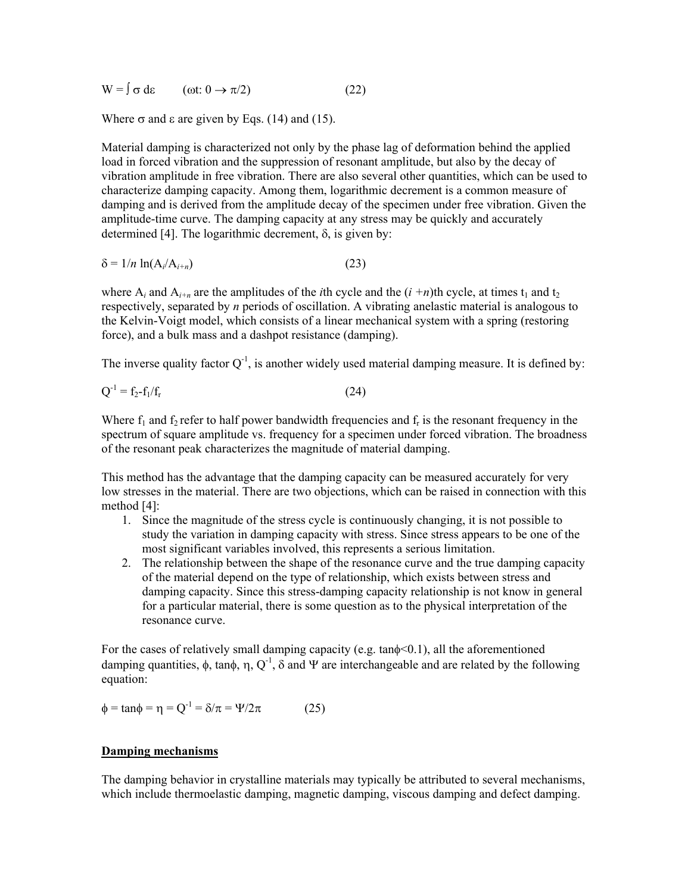$W = \int \sigma d\varepsilon$  (ot:  $0 \to \pi/2$ ) (22)

Where  $\sigma$  and  $\varepsilon$  are given by Eqs. (14) and (15).

Material damping is characterized not only by the phase lag of deformation behind the applied load in forced vibration and the suppression of resonant amplitude, but also by the decay of vibration amplitude in free vibration. There are also several other quantities, which can be used to characterize damping capacity. Among them, logarithmic decrement is a common measure of damping and is derived from the amplitude decay of the specimen under free vibration. Given the amplitude-time curve. The damping capacity at any stress may be quickly and accurately determined [4]. The logarithmic decrement,  $\delta$ , is given by:

$$
\delta = 1/n \ln(A_i/A_{i+n}) \tag{23}
$$

where  $A_i$  and  $A_{i+n}$  are the amplitudes of the *i*th cycle and the  $(i + n)$ th cycle, at times  $t_1$  and  $t_2$ respectively, separated by *n* periods of oscillation. A vibrating anelastic material is analogous to the Kelvin-Voigt model, which consists of a linear mechanical system with a spring (restoring force), and a bulk mass and a dashpot resistance (damping).

The inverse quality factor  $Q^{-1}$ , is another widely used material damping measure. It is defined by:

$$
Q^{-1} = f_2 - f_1 / f_r \tag{24}
$$

Where  $f_1$  and  $f_2$  refer to half power bandwidth frequencies and  $f_r$  is the resonant frequency in the spectrum of square amplitude vs. frequency for a specimen under forced vibration. The broadness of the resonant peak characterizes the magnitude of material damping.

This method has the advantage that the damping capacity can be measured accurately for very low stresses in the material. There are two objections, which can be raised in connection with this method [4]:

- 1. Since the magnitude of the stress cycle is continuously changing, it is not possible to study the variation in damping capacity with stress. Since stress appears to be one of the most significant variables involved, this represents a serious limitation.
- 2. The relationship between the shape of the resonance curve and the true damping capacity of the material depend on the type of relationship, which exists between stress and damping capacity. Since this stress-damping capacity relationship is not know in general for a particular material, there is some question as to the physical interpretation of the resonance curve.

For the cases of relatively small damping capacity (e.g. tan $\phi$  = 0.1), all the aforementioned damping quantities,  $\phi$ , tan $\phi$ ,  $\eta$ ,  $Q^{-1}$ ,  $\delta$  and  $\Psi$  are interchangeable and are related by the following equation:

 $\phi = \tan \phi = \eta = Q^{-1} = \delta/\pi = \Psi/2\pi$  (25)

#### **Damping mechanisms**

The damping behavior in crystalline materials may typically be attributed to several mechanisms, which include thermoelastic damping, magnetic damping, viscous damping and defect damping.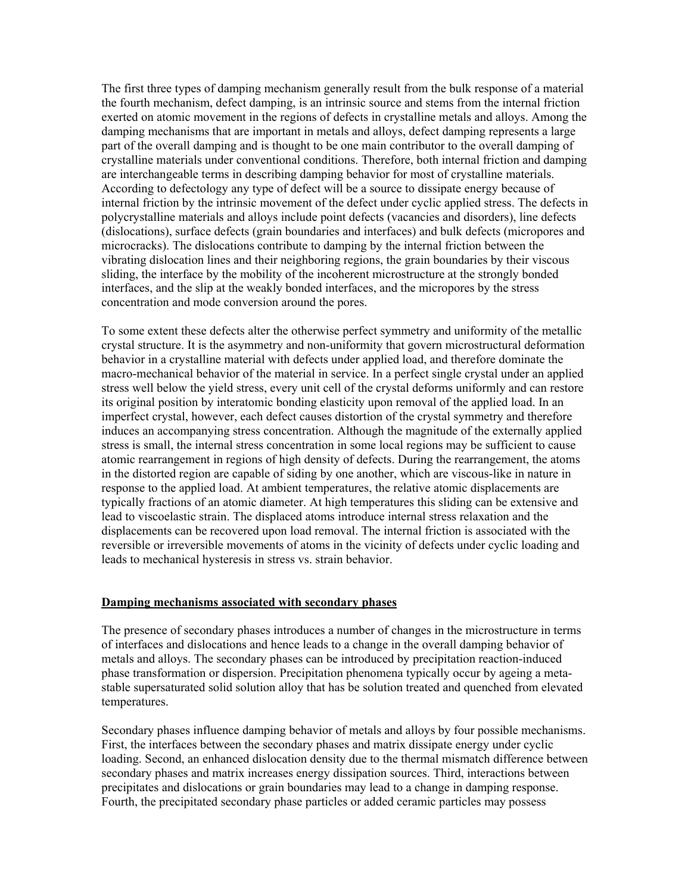The first three types of damping mechanism generally result from the bulk response of a material the fourth mechanism, defect damping, is an intrinsic source and stems from the internal friction exerted on atomic movement in the regions of defects in crystalline metals and alloys. Among the damping mechanisms that are important in metals and alloys, defect damping represents a large part of the overall damping and is thought to be one main contributor to the overall damping of crystalline materials under conventional conditions. Therefore, both internal friction and damping are interchangeable terms in describing damping behavior for most of crystalline materials. According to defectology any type of defect will be a source to dissipate energy because of internal friction by the intrinsic movement of the defect under cyclic applied stress. The defects in polycrystalline materials and alloys include point defects (vacancies and disorders), line defects (dislocations), surface defects (grain boundaries and interfaces) and bulk defects (micropores and microcracks). The dislocations contribute to damping by the internal friction between the vibrating dislocation lines and their neighboring regions, the grain boundaries by their viscous sliding, the interface by the mobility of the incoherent microstructure at the strongly bonded interfaces, and the slip at the weakly bonded interfaces, and the micropores by the stress concentration and mode conversion around the pores.

To some extent these defects alter the otherwise perfect symmetry and uniformity of the metallic crystal structure. It is the asymmetry and non-uniformity that govern microstructural deformation behavior in a crystalline material with defects under applied load, and therefore dominate the macro-mechanical behavior of the material in service. In a perfect single crystal under an applied stress well below the yield stress, every unit cell of the crystal deforms uniformly and can restore its original position by interatomic bonding elasticity upon removal of the applied load. In an imperfect crystal, however, each defect causes distortion of the crystal symmetry and therefore induces an accompanying stress concentration. Although the magnitude of the externally applied stress is small, the internal stress concentration in some local regions may be sufficient to cause atomic rearrangement in regions of high density of defects. During the rearrangement, the atoms in the distorted region are capable of siding by one another, which are viscous-like in nature in response to the applied load. At ambient temperatures, the relative atomic displacements are typically fractions of an atomic diameter. At high temperatures this sliding can be extensive and lead to viscoelastic strain. The displaced atoms introduce internal stress relaxation and the displacements can be recovered upon load removal. The internal friction is associated with the reversible or irreversible movements of atoms in the vicinity of defects under cyclic loading and leads to mechanical hysteresis in stress vs. strain behavior.

#### **Damping mechanisms associated with secondary phases**

The presence of secondary phases introduces a number of changes in the microstructure in terms of interfaces and dislocations and hence leads to a change in the overall damping behavior of metals and alloys. The secondary phases can be introduced by precipitation reaction-induced phase transformation or dispersion. Precipitation phenomena typically occur by ageing a metastable supersaturated solid solution alloy that has be solution treated and quenched from elevated temperatures.

Secondary phases influence damping behavior of metals and alloys by four possible mechanisms. First, the interfaces between the secondary phases and matrix dissipate energy under cyclic loading. Second, an enhanced dislocation density due to the thermal mismatch difference between secondary phases and matrix increases energy dissipation sources. Third, interactions between precipitates and dislocations or grain boundaries may lead to a change in damping response. Fourth, the precipitated secondary phase particles or added ceramic particles may possess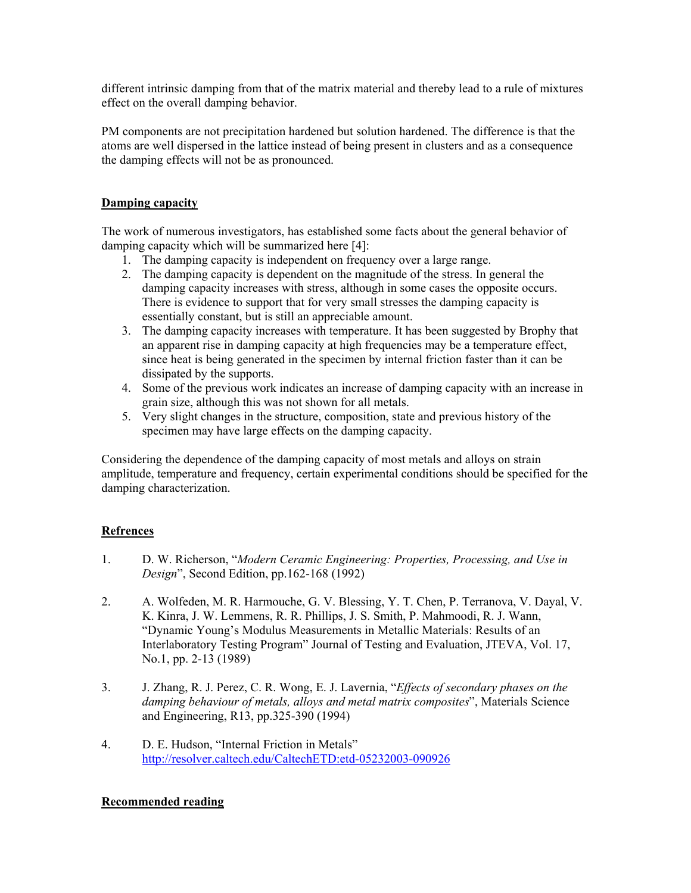different intrinsic damping from that of the matrix material and thereby lead to a rule of mixtures effect on the overall damping behavior.

PM components are not precipitation hardened but solution hardened. The difference is that the atoms are well dispersed in the lattice instead of being present in clusters and as a consequence the damping effects will not be as pronounced.

## **Damping capacity**

The work of numerous investigators, has established some facts about the general behavior of damping capacity which will be summarized here [4]:

- 1. The damping capacity is independent on frequency over a large range.
- 2. The damping capacity is dependent on the magnitude of the stress. In general the damping capacity increases with stress, although in some cases the opposite occurs. There is evidence to support that for very small stresses the damping capacity is essentially constant, but is still an appreciable amount.
- 3. The damping capacity increases with temperature. It has been suggested by Brophy that an apparent rise in damping capacity at high frequencies may be a temperature effect, since heat is being generated in the specimen by internal friction faster than it can be dissipated by the supports.
- 4. Some of the previous work indicates an increase of damping capacity with an increase in grain size, although this was not shown for all metals.
- 5. Very slight changes in the structure, composition, state and previous history of the specimen may have large effects on the damping capacity.

Considering the dependence of the damping capacity of most metals and alloys on strain amplitude, temperature and frequency, certain experimental conditions should be specified for the damping characterization.

# **Refrences**

- 1. D. W. Richerson, "*Modern Ceramic Engineering: Properties, Processing, and Use in Design*", Second Edition, pp.162-168 (1992)
- 2. A. Wolfeden, M. R. Harmouche, G. V. Blessing, Y. T. Chen, P. Terranova, V. Dayal, V. K. Kinra, J. W. Lemmens, R. R. Phillips, J. S. Smith, P. Mahmoodi, R. J. Wann, "Dynamic Young's Modulus Measurements in Metallic Materials: Results of an Interlaboratory Testing Program" Journal of Testing and Evaluation, JTEVA, Vol. 17, No.1, pp. 2-13 (1989)
- 3. J. Zhang, R. J. Perez, C. R. Wong, E. J. Lavernia, "*Effects of secondary phases on the damping behaviour of metals, alloys and metal matrix composites*", Materials Science and Engineering, R13, pp.325-390 (1994)
- 4. D. E. Hudson, "Internal Friction in Metals" http://resolver.caltech.edu/CaltechETD:etd-05232003-090926

### **Recommended reading**